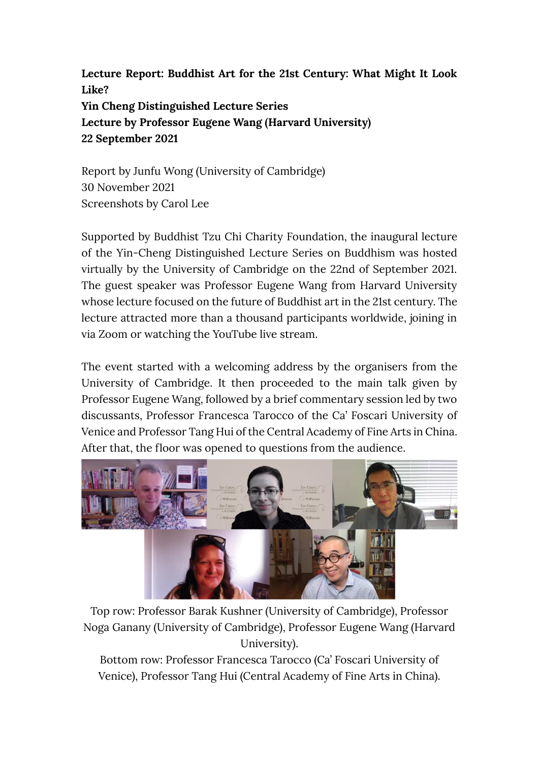**Lecture Report: Buddhist Art for the 21st Century: What Might It Look Like? Yin Cheng Distinguished Lecture Series Lecture by Professor Eugene Wang (Harvard University) 22 September 2021**

Report by Junfu Wong (University of Cambridge) 30 November 2021 Screenshots by Carol Lee

Supported by Buddhist Tzu Chi Charity Foundation, the inaugural lecture of the Yin-Cheng Distinguished Lecture Series on Buddhism was hosted virtually by the University of Cambridge on the 22nd of September 2021. The guest speaker was Professor Eugene Wang from Harvard University whose lecture focused on the future of Buddhist art in the 21st century. The lecture attracted more than a thousand participants worldwide, joining in via Zoom or watching the YouTube live stream.

The event started with a welcoming address by the organisers from the University of Cambridge. It then proceeded to the main talk given by Professor Eugene Wang, followed by a brief commentary session led by two discussants, Professor Francesca Tarocco of the Ca' Foscari University of Venice and Professor Tang Hui of the Central Academy of Fine Arts in China. After that, the floor was opened to questions from the audience.



Top row: Professor Barak Kushner (University of Cambridge), Professor Noga Ganany (University of Cambridge), Professor Eugene Wang (Harvard University).

Bottom row: Professor Francesca Tarocco (Ca' Foscari University of Venice), Professor Tang Hui (Central Academy of Fine Arts in China).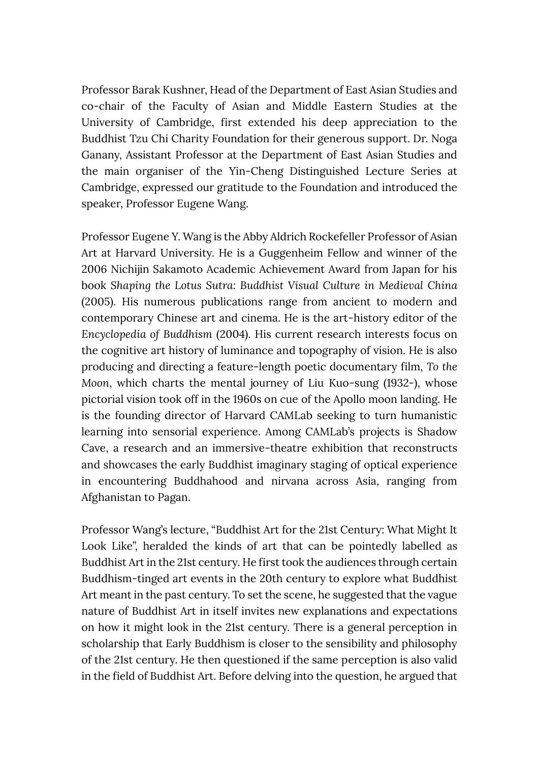Professor Barak Kushner, Head of the Department of East Asian Studies and co-chair of the Faculty of Asian and Middle Eastern Studies at the University of Cambridge, first extended his deep appreciation to the Buddhist Tzu Chi Charity Foundation for their generous support. Dr. Noga Ganany, Assistant Professor at the Department of East Asian Studies and the main organiser of the Yin-Cheng Distinguished Lecture Series at Cambridge, expressed our gratitude to the Foundation and introduced the speaker, Professor Eugene Wang.

Professor Eugene Y. Wang is the Abby Aldrich Rockefeller Professor of Asian Art at Harvard University. He is a Guggenheim Fellow and winner of the 2006 Nichijin Sakamoto Academic Achievement Award from Japan for his book *Shaping the Lotus Sutra: Buddhist Visual Culture in Medieval China* (2005). His numerous publications range from ancient to modern and contemporary Chinese art and cinema. He is the art-history editor of the *Encyclopedia of Buddhism* (2004). His current research interests focus on the cognitive art history of luminance and topography of vision. He is also producing and directing a feature-length poetic documentary film, *To the Moon*, which charts the mental journey of Liu Kuo-sung (1932-), whose pictorial vision took off in the 1960s on cue of the Apollo moon landing. He is the founding director of Harvard CAMLab seeking to turn humanistic learning into sensorial experience. Among CAMLab's projects is Shadow Cave, a research and an immersive-theatre exhibition that reconstructs and showcases the early Buddhist imaginary staging of optical experience in encountering Buddhahood and nirvana across Asia, ranging from Afghanistan to Pagan.

Professor Wang's lecture, "Buddhist Art for the 21st Century: What Might It Look Like", heralded the kinds of art that can be pointedly labelled as Buddhist Art in the 21st century. He first took the audiences through certain Buddhism-tinged art events in the 20th century to explore what Buddhist Art meant in the past century. To set the scene, he suggested that the vague nature of Buddhist Art in itself invites new explanations and expectations on how it might look in the 21st century. There is a general perception in scholarship that Early Buddhism is closer to the sensibility and philosophy of the 21st century. He then questioned if the same perception is also valid in the field of Buddhist Art. Before delving into the question, he argued that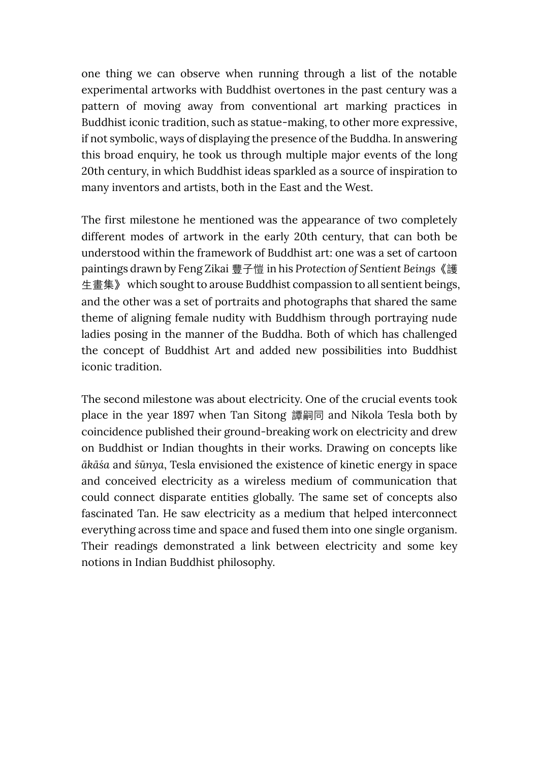one thing we can observe when running through a list of the notable experimental artworks with Buddhist overtones in the past century was a pattern of moving away from conventional art marking practices in Buddhist iconic tradition, such as statue-making, to other more expressive, if not symbolic, ways of displaying the presence of the Buddha. In answering this broad enquiry, he took us through multiple major events of the long 20th century, in which Buddhist ideas sparkled as a source of inspiration to many inventors and artists, both in the East and the West.

The first milestone he mentioned was the appearance of two completely different modes of artwork in the early 20th century, that can both be understood within the framework of Buddhist art: one was a set of cartoon paintings drawn by Feng Zikai 豐子愷 in his *Protection of Sentient Beings*《護 生畫集》 which sought to arouse Buddhist compassion to all sentient beings, and the other was a set of portraits and photographs that shared the same theme of aligning female nudity with Buddhism through portraying nude ladies posing in the manner of the Buddha. Both of which has challenged the concept of Buddhist Art and added new possibilities into Buddhist iconic tradition.

The second milestone was about electricity. One of the crucial events took place in the year 1897 when Tan Sitong 譚嗣同 and Nikola Tesla both by coincidence published their ground-breaking work on electricity and drew on Buddhist or Indian thoughts in their works. Drawing on concepts like *ākāśa* and *śūnya*, Tesla envisioned the existence of kinetic energy in space and conceived electricity as a wireless medium of communication that could connect disparate entities globally. The same set of concepts also fascinated Tan. He saw electricity as a medium that helped interconnect everything across time and space and fused them into one single organism. Their readings demonstrated a link between electricity and some key notions in Indian Buddhist philosophy.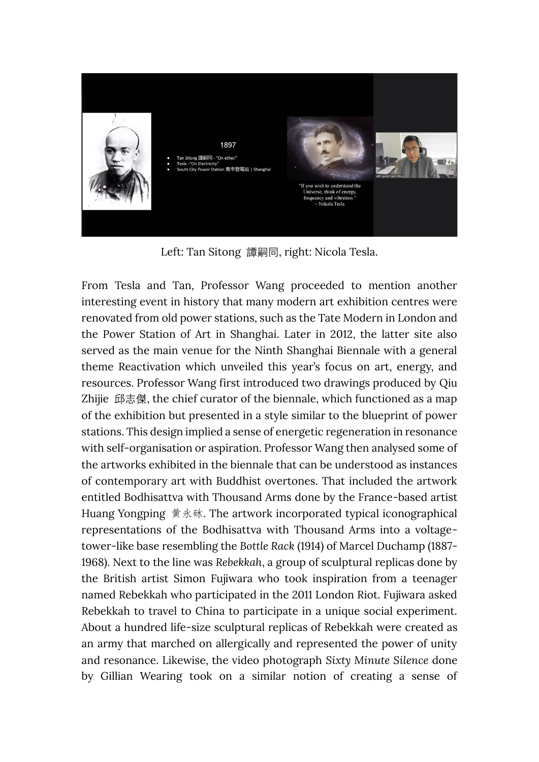

Left: Tan Sitong 譚嗣同, right: Nicola Tesla.

From Tesla and Tan, Professor Wang proceeded to mention another interesting event in history that many modern art exhibition centres were renovated from old power stations, such as the Tate Modern in London and the Power Station of Art in Shanghai. Later in 2012, the latter site also served as the main venue for the Ninth Shanghai Biennale with a general theme Reactivation which unveiled this year's focus on art, energy, and resources. Professor Wang first introduced two drawings produced by Qiu Zhijie 邱志傑, the chief curator of the biennale, which functioned as a map of the exhibition but presented in a style similar to the blueprint of power stations. This design implied a sense of energetic regeneration in resonance with self-organisation or aspiration. Professor Wang then analysed some of the artworks exhibited in the biennale that can be understood as instances of contemporary art with Buddhist overtones. That included the artwork entitled Bodhisattva with Thousand Arms done by the France-based artist Huang Yongping 黄永砯. The artwork incorporated typical iconographical representations of the Bodhisattva with Thousand Arms into a voltagetower-like base resembling the *Bottle Rack* (1914) of Marcel Duchamp (1887- 1968). Next to the line was *Rebekkah*, a group of sculptural replicas done by the British artist Simon Fujiwara who took inspiration from a teenager named Rebekkah who participated in the 2011 London Riot. Fujiwara asked Rebekkah to travel to China to participate in a unique social experiment. About a hundred life-size sculptural replicas of Rebekkah were created as an army that marched on allergically and represented the power of unity and resonance. Likewise, the video photograph *Sixty Minute Silence* done by Gillian Wearing took on a similar notion of creating a sense of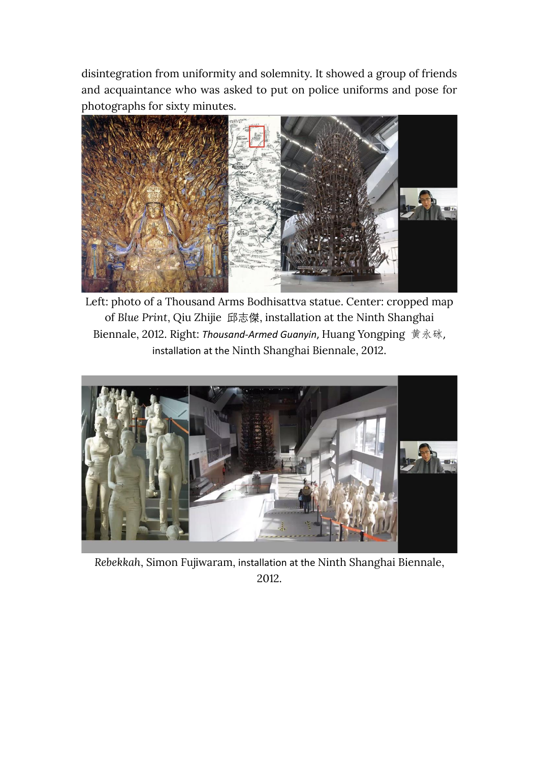disintegration from uniformity and solemnity. It showed a group of friends and acquaintance who was asked to put on police uniforms and pose for photographs for sixty minutes.



Left: photo of a Thousand Arms Bodhisattva statue. Center: cropped map of *Blue Print*, Qiu Zhijie 邱志傑, installation at the Ninth Shanghai Biennale, 2012. Right: *Thousand-Armed Guanyin*, Huang Yongping 黄永砯, installation at the Ninth Shanghai Biennale, 2012.



*Rebekkah*, Simon Fujiwaram, installation at the Ninth Shanghai Biennale, 2012.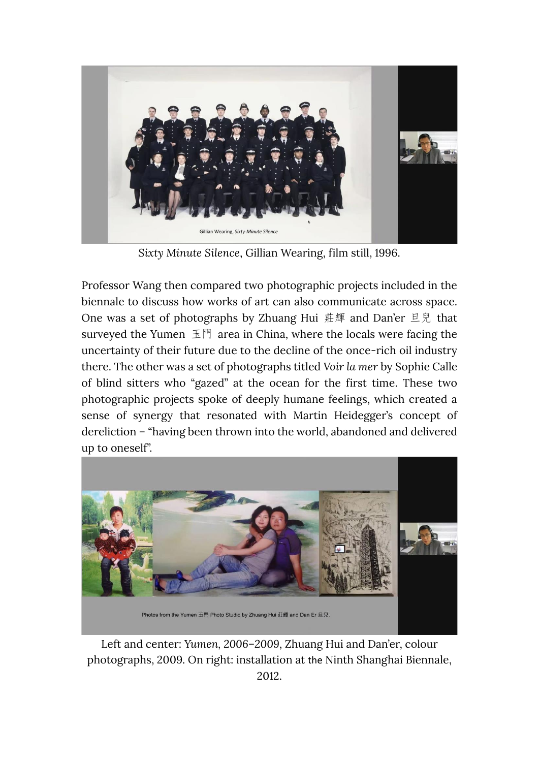

*Sixty Minute Silence*, Gillian Wearing, film still, 1996.

Professor Wang then compared two photographic projects included in the biennale to discuss how works of art can also communicate across space. One was a set of photographs by Zhuang Hui 莊輝 and Dan'er 旦兒 that surveyed the Yumen 玉門 area in China, where the locals were facing the uncertainty of their future due to the decline of the once-rich oil industry there. The other was a set of photographs titled *Voir la mer* by Sophie Calle of blind sitters who "gazed" at the ocean for the first time. These two photographic projects spoke of deeply humane feelings, which created a sense of synergy that resonated with Martin Heidegger's concept of dereliction – "having been thrown into the world, abandoned and delivered up to oneself".



Photos from the Yumen 玉門 Photo Studio by Zhuang Hui 莊輝 and Dan Er 旦兒.

Left and center: *Yumen, 2006–2009*, Zhuang Hui and Dan'er, colour photographs, 2009. On right: installation at the Ninth Shanghai Biennale, 2012.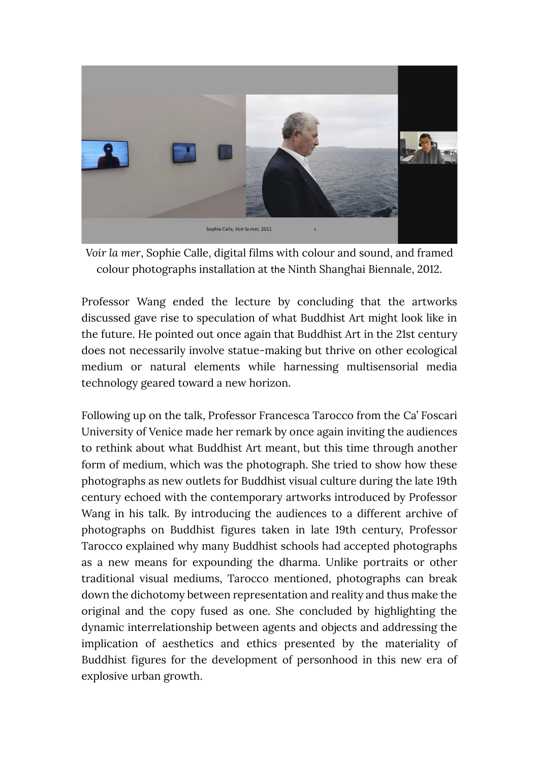

*Voir la mer*, Sophie Calle, digital films with colour and sound, and framed colour photographs installation at the Ninth Shanghai Biennale, 2012.

Professor Wang ended the lecture by concluding that the artworks discussed gave rise to speculation of what Buddhist Art might look like in the future. He pointed out once again that Buddhist Art in the 21st century does not necessarily involve statue-making but thrive on other ecological medium or natural elements while harnessing multisensorial media technology geared toward a new horizon.

Following up on the talk, Professor Francesca Tarocco from the Ca' Foscari University of Venice made her remark by once again inviting the audiences to rethink about what Buddhist Art meant, but this time through another form of medium, which was the photograph. She tried to show how these photographs as new outlets for Buddhist visual culture during the late 19th century echoed with the contemporary artworks introduced by Professor Wang in his talk. By introducing the audiences to a different archive of photographs on Buddhist figures taken in late 19th century, Professor Tarocco explained why many Buddhist schools had accepted photographs as a new means for expounding the dharma. Unlike portraits or other traditional visual mediums, Tarocco mentioned, photographs can break down the dichotomy between representation and reality and thus make the original and the copy fused as one. She concluded by highlighting the dynamic interrelationship between agents and objects and addressing the implication of aesthetics and ethics presented by the materiality of Buddhist figures for the development of personhood in this new era of explosive urban growth.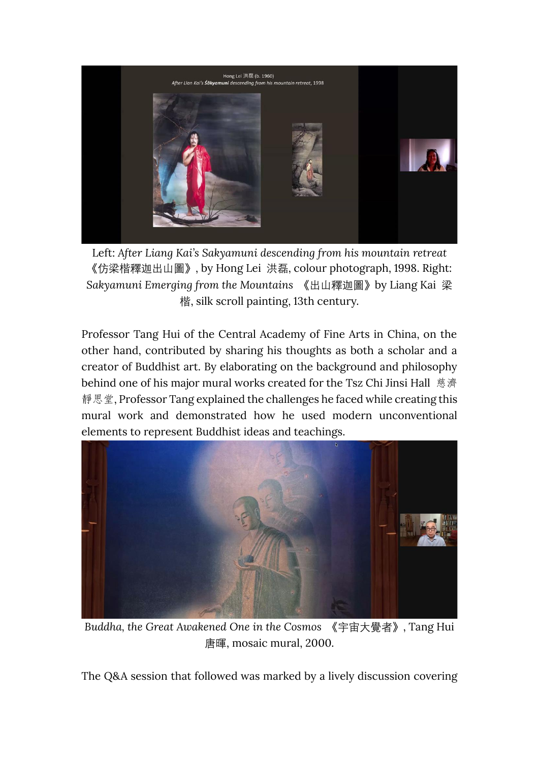

Left: *After Liang Kai's Sakyamuni descending from his mountain retreat* 《仿梁楷釋迦出山圖》, by Hong Lei 洪磊, colour photograph, 1998. Right: *Sakyamuni Emerging from the Mountains* 《出山釋迦圖》by Liang Kai 梁 楷, silk scroll painting, 13th century.

Professor Tang Hui of the Central Academy of Fine Arts in China, on the other hand, contributed by sharing his thoughts as both a scholar and a creator of Buddhist art. By elaborating on the background and philosophy behind one of his major mural works created for the Tsz Chi Jinsi Hall 慈濟 靜思堂, Professor Tang explained the challenges he faced while creating this mural work and demonstrated how he used modern unconventional elements to represent Buddhist ideas and teachings.



*Buddha, the Great Awakened One in the Cosmos* 《宇宙大覺者》, Tang Hui 唐暉, mosaic mural, 2000.

The Q&A session that followed was marked by a lively discussion covering